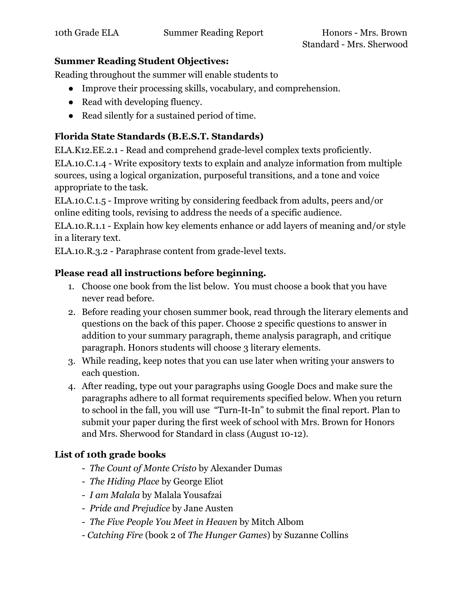#### **Summer Reading Student Objectives:**

Reading throughout the summer will enable students to

- Improve their processing skills, vocabulary, and comprehension.
- Read with developing fluency.
- Read silently for a sustained period of time.

# **Florida State Standards (B.E.S.T. Standards)**

ELA.K12.EE.2.1 - Read and comprehend grade-level complex texts proficiently.

ELA.10.C.1.4 - Write expository texts to explain and analyze information from multiple sources, using a logical organization, purposeful transitions, and a tone and voice appropriate to the task.

ELA.10.C.1.5 - Improve writing by considering feedback from adults, peers and/or online editing tools, revising to address the needs of a specific audience.

ELA.10.R.1.1 - Explain how key elements enhance or add layers of meaning and/or style in a literary text.

ELA.10.R.3.2 - Paraphrase content from grade-level texts.

## **Please read all instructions before beginning.**

- 1. Choose one book from the list below. You must choose a book that you have never read before.
- 2. Before reading your chosen summer book, read through the literary elements and questions on the back of this paper. Choose 2 specific questions to answer in addition to your summary paragraph, theme analysis paragraph, and critique paragraph. Honors students will choose 3 literary elements.
- 3. While reading, keep notes that you can use later when writing your answers to each question.
- 4. After reading, type out your paragraphs using Google Docs and make sure the paragraphs adhere to all format requirements specified below. When you return to school in the fall, you will use "Turn-It-In" to submit the final report. Plan to submit your paper during the first week of school with Mrs. Brown for Honors and Mrs. Sherwood for Standard in class (August 10-12).

# **List of 10th grade books**

- *The Count of Monte Cristo* by Alexander Dumas
- *The Hiding Place* by George Eliot
- *I am Malala* by Malala Yousafzai
- *Pride and Prejudice* by Jane Austen
- *The Five People You Meet in Heaven* by Mitch Albom
- *Catching Fire* (book 2 of *The Hunger Games*) by Suzanne Collins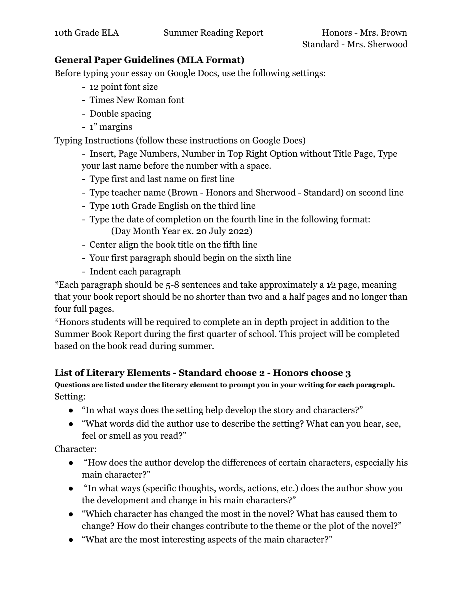#### **General Paper Guidelines (MLA Format)**

Before typing your essay on Google Docs, use the following settings:

- 12 point font size
- Times New Roman font
- Double spacing
- 1" margins

Typing Instructions (follow these instructions on Google Docs)

- Insert, Page Numbers, Number in Top Right Option without Title Page, Type your last name before the number with a space.

- Type first and last name on first line
- Type teacher name (Brown Honors and Sherwood Standard) on second line
- Type 10th Grade English on the third line
- Type the date of completion on the fourth line in the following format: (Day Month Year ex. 20 July 2022)
- Center align the book title on the fifth line
- Your first paragraph should begin on the sixth line
- Indent each paragraph

\*Each paragraph should be 5-8 sentences and take approximately a 1⁄2 page, meaning that your book report should be no shorter than two and a half pages and no longer than four full pages.

\*Honors students will be required to complete an in depth project in addition to the Summer Book Report during the first quarter of school. This project will be completed based on the book read during summer.

## **List of Literary Elements - Standard choose 2 - Honors choose 3**

**Questions are listed under the literary element to prompt you in your writing for each paragraph.** Setting:

- "In what ways does the setting help develop the story and characters?"
- "What words did the author use to describe the setting? What can you hear, see, feel or smell as you read?"

Character:

- "How does the author develop the differences of certain characters, especially his main character?"
- "In what ways (specific thoughts, words, actions, etc.) does the author show you the development and change in his main characters?"
- "Which character has changed the most in the novel? What has caused them to change? How do their changes contribute to the theme or the plot of the novel?"
- "What are the most interesting aspects of the main character?"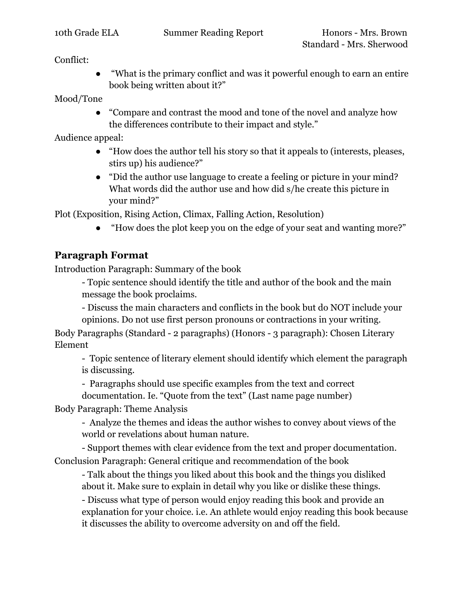Conflict:

"What is the primary conflict and was it powerful enough to earn an entire book being written about it?"

Mood/Tone

● "Compare and contrast the mood and tone of the novel and analyze how the differences contribute to their impact and style."

Audience appeal:

- "How does the author tell his story so that it appeals to (interests, pleases, stirs up) his audience?"
- "Did the author use language to create a feeling or picture in your mind? What words did the author use and how did s/he create this picture in your mind?"

Plot (Exposition, Rising Action, Climax, Falling Action, Resolution)

"How does the plot keep you on the edge of your seat and wanting more?"

# **Paragraph Format**

Introduction Paragraph: Summary of the book

- Topic sentence should identify the title and author of the book and the main message the book proclaims.

- Discuss the main characters and conflicts in the book but do NOT include your opinions. Do not use first person pronouns or contractions in your writing.

Body Paragraphs (Standard - 2 paragraphs) (Honors - 3 paragraph): Chosen Literary Element

- Topic sentence of literary element should identify which element the paragraph is discussing.

- Paragraphs should use specific examples from the text and correct documentation. Ie. "Quote from the text" (Last name page number)

Body Paragraph: Theme Analysis

- Analyze the themes and ideas the author wishes to convey about views of the world or revelations about human nature.

- Support themes with clear evidence from the text and proper documentation. Conclusion Paragraph: General critique and recommendation of the book

- Talk about the things you liked about this book and the things you disliked about it. Make sure to explain in detail why you like or dislike these things.

- Discuss what type of person would enjoy reading this book and provide an explanation for your choice. i.e. An athlete would enjoy reading this book because it discusses the ability to overcome adversity on and off the field.